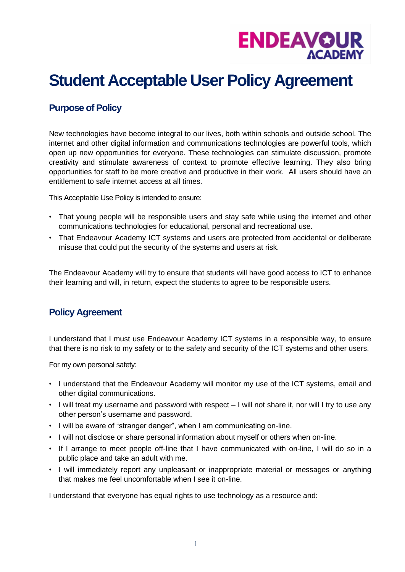

## **Student Acceptable User Policy Agreement**

## **Purpose of Policy**

New technologies have become integral to our lives, both within schools and outside school. The internet and other digital information and communications technologies are powerful tools, which open up new opportunities for everyone. These technologies can stimulate discussion, promote creativity and stimulate awareness of context to promote effective learning. They also bring opportunities for staff to be more creative and productive in their work. All users should have an entitlement to safe internet access at all times.

This Acceptable Use Policy is intended to ensure:

- That young people will be responsible users and stay safe while using the internet and other communications technologies for educational, personal and recreational use.
- That Endeavour Academy ICT systems and users are protected from accidental or deliberate misuse that could put the security of the systems and users at risk.

The Endeavour Academy will try to ensure that students will have good access to ICT to enhance their learning and will, in return, expect the students to agree to be responsible users.

## **Policy Agreement**

I understand that I must use Endeavour Academy ICT systems in a responsible way, to ensure that there is no risk to my safety or to the safety and security of the ICT systems and other users.

For my own personal safety:

- I understand that the Endeavour Academy will monitor my use of the ICT systems, email and other digital communications.
- I will treat my username and password with respect I will not share it, nor will I try to use any other person's username and password.
- I will be aware of "stranger danger", when I am communicating on-line.
- I will not disclose or share personal information about myself or others when on-line.
- If I arrange to meet people off-line that I have communicated with on-line, I will do so in a public place and take an adult with me.
- I will immediately report any unpleasant or inappropriate material or messages or anything that makes me feel uncomfortable when I see it on-line.

I understand that everyone has equal rights to use technology as a resource and: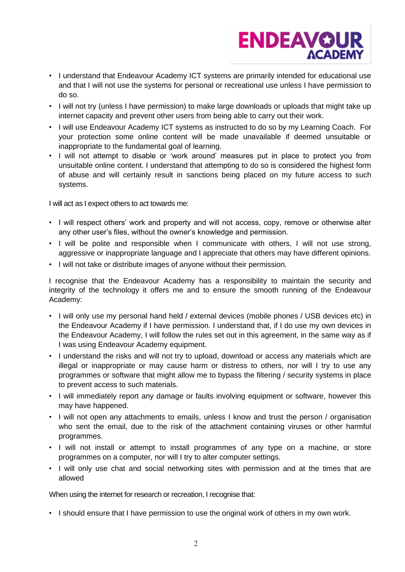

- I understand that Endeavour Academy ICT systems are primarily intended for educational use and that I will not use the systems for personal or recreational use unless I have permission to do so.
- I will not try (unless I have permission) to make large downloads or uploads that might take up internet capacity and prevent other users from being able to carry out their work.
- I will use Endeavour Academy ICT systems as instructed to do so by my Learning Coach. For your protection some online content will be made unavailable if deemed unsuitable or inappropriate to the fundamental goal of learning.
- I will not attempt to disable or 'work around' measures put in place to protect you from unsuitable online content. I understand that attempting to do so is considered the highest form of abuse and will certainly result in sanctions being placed on my future access to such systems.

I will act as I expect others to act towards me:

- I will respect others' work and property and will not access, copy, remove or otherwise alter any other user's files, without the owner's knowledge and permission.
- I will be polite and responsible when I communicate with others, I will not use strong, aggressive or inappropriate language and I appreciate that others may have different opinions.
- I will not take or distribute images of anyone without their permission.

I recognise that the Endeavour Academy has a responsibility to maintain the security and integrity of the technology it offers me and to ensure the smooth running of the Endeavour Academy:

- I will only use my personal hand held / external devices (mobile phones / USB devices etc) in the Endeavour Academy if I have permission. I understand that, if I do use my own devices in the Endeavour Academy, I will follow the rules set out in this agreement, in the same way as if I was using Endeavour Academy equipment.
- I understand the risks and will not try to upload, download or access any materials which are illegal or inappropriate or may cause harm or distress to others, nor will I try to use any programmes or software that might allow me to bypass the filtering / security systems in place to prevent access to such materials.
- I will immediately report any damage or faults involving equipment or software, however this may have happened.
- I will not open any attachments to emails, unless I know and trust the person / organisation who sent the email, due to the risk of the attachment containing viruses or other harmful programmes.
- I will not install or attempt to install programmes of any type on a machine, or store programmes on a computer, nor will I try to alter computer settings.
- I will only use chat and social networking sites with permission and at the times that are allowed

When using the internet for research or recreation, I recognise that:

• I should ensure that I have permission to use the original work of others in my own work.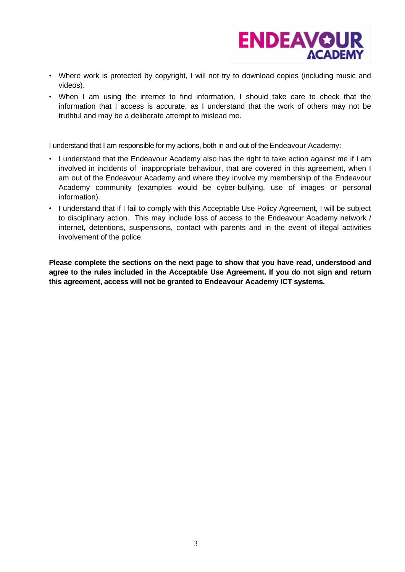

- Where work is protected by copyright, I will not try to download copies (including music and videos).
- When I am using the internet to find information, I should take care to check that the information that I access is accurate, as I understand that the work of others may not be truthful and may be a deliberate attempt to mislead me.

I understand that I am responsible for my actions, both in and out of the Endeavour Academy:

- I understand that the Endeavour Academy also has the right to take action against me if I am involved in incidents of inappropriate behaviour, that are covered in this agreement, when I am out of the Endeavour Academy and where they involve my membership of the Endeavour Academy community (examples would be cyber-bullying, use of images or personal information).
- I understand that if I fail to comply with this Acceptable Use Policy Agreement, I will be subject to disciplinary action. This may include loss of access to the Endeavour Academy network / internet, detentions, suspensions, contact with parents and in the event of illegal activities involvement of the police.

**Please complete the sections on the next page to show that you have read, understood and agree to the rules included in the Acceptable Use Agreement. If you do not sign and return this agreement, access will not be granted to Endeavour Academy ICT systems.**